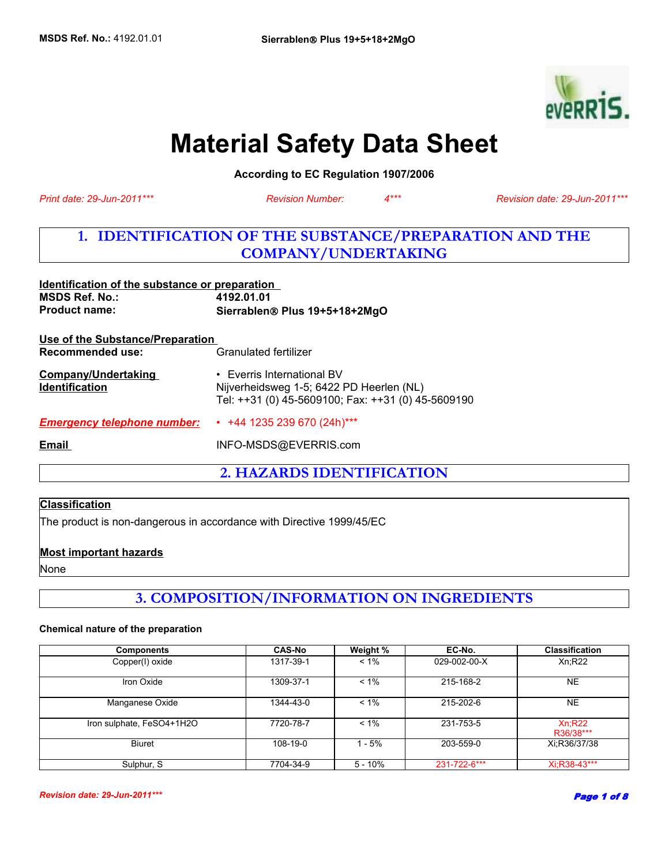

# **Material Safety Data Sheet**

**According to EC Regulation 1907/2006** 

*Print date: 29-Jun-2011\*\*\**

*Revision Number: 4\*\*\**

*Revision date: 29-Jun-2011\*\*\**

### **1. IDENTIFICATION OF THE SUBSTANCE/PREPARATION AND THE COMPANY/UNDERTAKING**

| Identification of the substance or preparation<br>MSDS Ref. No.:<br><b>Product name:</b> | 4192.01.01<br>Sierrablen® Plus 19+5+18+2MgO                                                                                  |  |
|------------------------------------------------------------------------------------------|------------------------------------------------------------------------------------------------------------------------------|--|
| Use of the Substance/Preparation                                                         |                                                                                                                              |  |
| Recommended use:                                                                         | Granulated fertilizer                                                                                                        |  |
| Company/Undertaking<br><b>Identification</b>                                             | • Everris International BV<br>Nijverheidsweg 1-5; 6422 PD Heerlen (NL)<br>Tel: ++31 (0) 45-5609100; Fax: ++31 (0) 45-5609190 |  |
| <b>Emergency telephone number:</b>                                                       | $+44$ 1235 239 670 (24h)***                                                                                                  |  |
| Email                                                                                    | INFO-MSDS@EVERRIS.com                                                                                                        |  |
|                                                                                          |                                                                                                                              |  |

**2. HAZARDS IDENTIFICATION**

### **Classification**

The product is non-dangerous in accordance with Directive 1999/45/EC

#### **Most important hazards**

None

## **3. COMPOSITION/INFORMATION ON INGREDIENTS**

#### **Chemical nature of the preparation**

| <b>Components</b>         | <b>CAS-No</b> | Weight %  | EC-No.       | <b>Classification</b> |
|---------------------------|---------------|-----------|--------------|-----------------------|
| Copper(I) oxide           | 1317-39-1     | $< 1\%$   | 029-002-00-X | Xn;R22                |
| Iron Oxide                | 1309-37-1     | $< 1\%$   | 215-168-2    | NE                    |
| Manganese Oxide           | 1344-43-0     | $< 1\%$   | 215-202-6    | NE.                   |
| Iron sulphate, FeSO4+1H2O | 7720-78-7     | $< 1\%$   | 231-753-5    | Xn:R22<br>R36/38***   |
| <b>Biuret</b>             | 108-19-0      | - 5%      | 203-559-0    | Xi:R36/37/38          |
| Sulphur, S                | 7704-34-9     | $5 - 10%$ | 231-722-6*** | Xi:R38-43***          |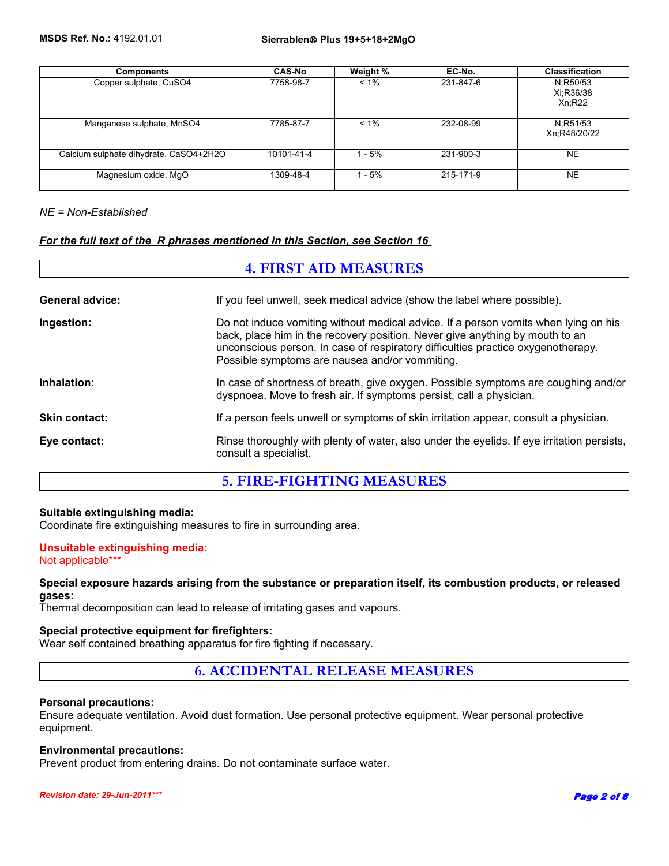| <b>Components</b>                      | <b>CAS-No</b> | Weight % | EC-No.    | <b>Classification</b>           |
|----------------------------------------|---------------|----------|-----------|---------------------------------|
| Copper sulphate, CuSO4                 | 7758-98-7     | $< 1\%$  | 231-847-6 | N:R50/53<br>Xi:R36/38<br>Xn;R22 |
| Manganese sulphate, MnSO4              | 7785-87-7     | $< 1\%$  | 232-08-99 | N:R51/53<br>Xn:R48/20/22        |
| Calcium sulphate dihydrate, CaSO4+2H2O | 10101-41-4    | $1 - 5%$ | 231-900-3 | <b>NE</b>                       |
| Magnesium oxide, MgO                   | 1309-48-4     | - 5%     | 215-171-9 | <b>NE</b>                       |

#### *NE = Non-Established*

### *For the full text of the R phrases mentioned in this Section, see Section 16*

| <b>4. FIRST AID MEASURES</b> |                                                                                                                                                                                                                                                                                                           |  |
|------------------------------|-----------------------------------------------------------------------------------------------------------------------------------------------------------------------------------------------------------------------------------------------------------------------------------------------------------|--|
| <b>General advice:</b>       | If you feel unwell, seek medical advice (show the label where possible).                                                                                                                                                                                                                                  |  |
| Ingestion:                   | Do not induce vomiting without medical advice. If a person vomits when lying on his<br>back, place him in the recovery position. Never give anything by mouth to an<br>unconscious person. In case of respiratory difficulties practice oxygenotherapy.<br>Possible symptoms are nausea and/or vommiting. |  |
| Inhalation:                  | In case of shortness of breath, give oxygen. Possible symptoms are coughing and/or<br>dyspnoea. Move to fresh air. If symptoms persist, call a physician.                                                                                                                                                 |  |
| <b>Skin contact:</b>         | If a person feels unwell or symptoms of skin irritation appear, consult a physician.                                                                                                                                                                                                                      |  |
| Eye contact:                 | Rinse thoroughly with plenty of water, also under the eyelids. If eye irritation persists,<br>consult a specialist.                                                                                                                                                                                       |  |

### **5. FIRE-FIGHTING MEASURES**

#### **Suitable extinguishing media:**

Coordinate fire extinguishing measures to fire in surrounding area.

#### **Unsuitable extinguishing media:** Not applicable\*\*\*

#### **Special exposure hazards arising from the substance or preparation itself, its combustion products, or released gases:**

Thermal decomposition can lead to release of irritating gases and vapours.

#### **Special protective equipment for firefighters:**

Wear self contained breathing apparatus for fire fighting if necessary.

#### **6. ACCIDENTAL RELEASE MEASURES**

#### **Personal precautions:**

Ensure adequate ventilation. Avoid dust formation. Use personal protective equipment. Wear personal protective equipment.

#### **Environmental precautions:**

Prevent product from entering drains. Do not contaminate surface water.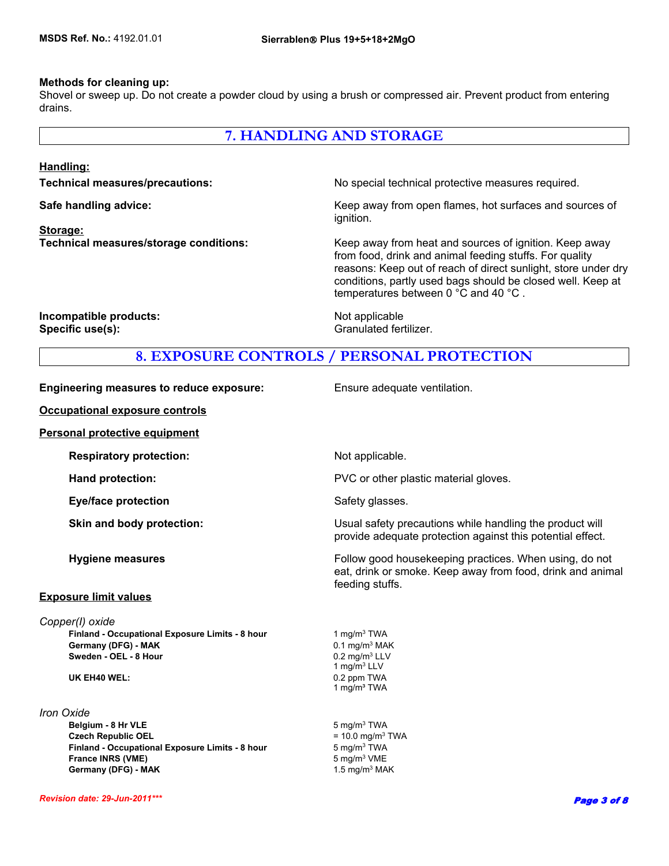#### **Methods for cleaning up:**

Shovel or sweep up. Do not create a powder cloud by using a brush or compressed air. Prevent product from entering drains.

### **7. HANDLING AND STORAGE**

#### **Handling:**

**Storage:**

**Technical measures/precautions:** No special technical protective measures required.

**Safe handling advice:** Keep away from open flames, hot surfaces and sources of ignition.

**Technical measures/storage conditions:** Keep away from heat and sources of ignition. Keep away from food, drink and animal feeding stuffs. For quality reasons: Keep out of reach of direct sunlight, store under dry conditions, partly used bags should be closed well. Keep at temperatures between 0 °C and 40 °C .

**Incompatible products:** Not applicable **Specific use(s):** Granulated fertilizer.

### **8. EXPOSURE CONTROLS / PERSONAL PROTECTION**

| <b>Engineering measures to reduce exposure:</b> |  |  |  |
|-------------------------------------------------|--|--|--|
|-------------------------------------------------|--|--|--|

**Occupational exposure controls**

#### **Personal protective equipment**

#### **Exposure limit values**

*Copper(I) oxide*

#### *Iron Oxide*

**Finland - Occupational Exposure Limits - 8 hour** 5 mg/m<sup>3</sup> TWA **France INRS (VME)** 5 mg/m<sup>3</sup> VME **Germany (DFG) - MAK** 1.5 mg/m<sup>3</sup> MAK

**Ensure adequate ventilation.** 

**Respiratory protection:** Not applicable. **Hand protection: EXECUTE:** PVC or other plastic material gloves. **Eye/face protection** Safety glasses. **Skin and body protection:** Usual safety precautions while handling the product will provide adequate protection against this potential effect. **Hygiene measures Follow good housekeeping practices. When using, do not all the state of the Follow good housekeeping practices. When using, do not** eat, drink or smoke. Keep away from food, drink and animal feeding stuffs. **Belgium - 8 Hr VLE** 5 mg/m<sup>3</sup> TWA  **Germany (DFG) - MAK Czech Republic OEL**  $= 10.0 \text{ mg/m}^3 \text{ TWA}$  $0.1$  mg/m $3$  MAK **Sweden - OEL - 8 Hour COMPUTER 1999 12 MM** 0.2 mg/m<sup>3</sup> LLV 1 mg/ $\overline{m}^3$  LLV **UK EH40 WEL:** 0.2 ppm TWA 1 mg/m³ TWA **Finland - Occupational Exposure Limits - 8 hour** 1 mg/m<sup>3</sup> TWA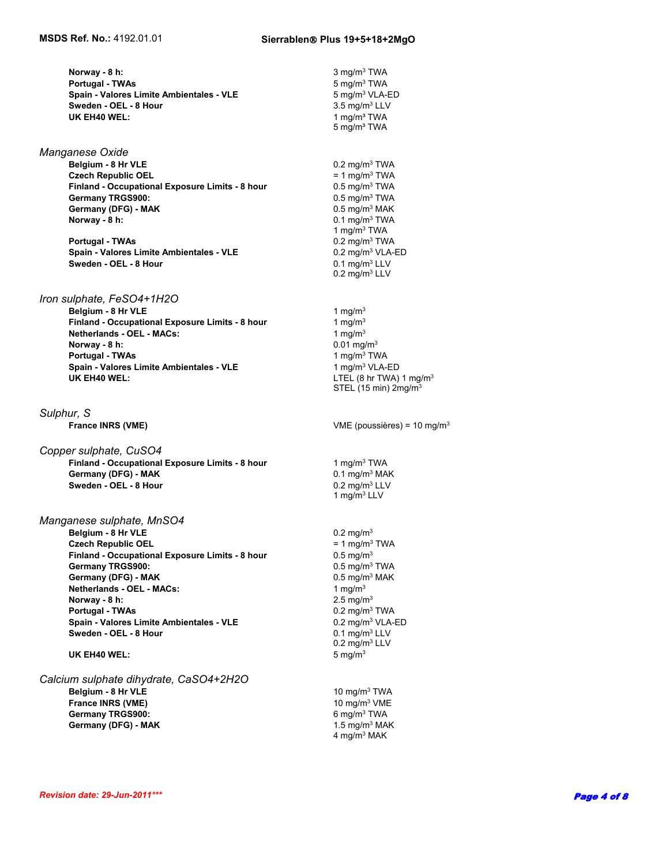**Spain - Valores Limite Ambientales - VLE** 5 mg/m<sup>3</sup> VLA-ED **Norway - 8 h:** 3 mg/m<sup>3</sup> TWA **Sweden - OEL - 8 Hour**  3.5 mg/m<sup>3</sup> LLV **UK EH40 WEL: Portugal - TWAs** 

**Czech Republic OEL** = 1 mg/m3 TWA  **Finland - Occupational Exposure Limits - 8 hour Germany TRGS900:** Germany (DFG) - MAK **DEGINE CONSTRANS CONSTRANS OF A MAK** 0.5 mg/m<sup>3</sup> MAK  **Norway - 8 h:** *Manganese Oxide*  **Belgium - 8 Hr VLE**

 **Portugal - TWAs** 0.2 mg/m3 TWA **Spain - Valores Limite Ambientales - VLE Sweden - OEL - 8 Hour** 

*Iron sulphate, FeSO4+1H2O*

**Norway - 8 h:** 0.01 mg/m<sup>3</sup>  **Portugal - TWAs** 1 mg/m3 TWA **Spain - Valores Limite Ambientales - VLE** 1 mg/m<sup>3</sup> VLA-ED **UK EH40 WEL:** LTEL (8 hr TWA) 1 mg/m<sup>3</sup> **Belgium - 8 Hr VLE** 1 mg/m<sup>3</sup> **Finland - Occupational Exposure Limits - 8 hour** 1 mg/m<sup>3</sup> **Netherlands - OEL - MACs:** 1 mg/m<sup>3</sup>

*Sulphur, S*

*Copper sulphate, CuSO4* **Finland - Occupational Exposure Limits - 8 hour** 1 mg/m<sup>3</sup> TWA **Germany (DFG) - MAK** 0.1 mg/m<sup>3</sup> MAK  **Sweden - OEL - 8 Hour** 0.2 mg/m3 LLV

*Manganese sulphate, MnSO4* **Belgium - 8 Hr VLE** 0.2 mg/m<sup>3</sup> **Czech Republic OEL** = 1 mg/m<sup>3</sup> TWA<br> **Finland - Occupational Exposure Limits - 8 hour** 0.5 mg/m<sup>3</sup> **Finland - Occupational Exposure Limits - 8 hour Germany TRGS900:** 0.5 mg/m3 TWA **Germany (DFG) - MAK** 0.5 mg/m<sup>3</sup> MAK **Netherlands - OEL - MACs:** 1 mg/m<sup>3</sup> **Norway - 8 h:** 2.5 mg/m<sup>3</sup>  **Portugal - TWAs** 0.2 mg/m3 TWA  **Spain - Valores Limite Ambientales - VLE** 0.2 mg/m3 VLA-ED **Sweden - OEL - 8 Hour** 

**UK EH40 WEL:** 5 mg/m<sup>3</sup>

#### *Calcium sulphate dihydrate, CaSO4+2H2O*

**France INRS (VME)** 10 mg/m<sup>3</sup> VME **Germany TRGS900:** 6 mg/m<sup>3</sup> TWA **Germany (DFG) - MAK** 1.5 mg/m<sup>3</sup> MAK

STEL (15 min) 2mg/m3  $0.5 \text{ mg/m}^3$  TWA<br> $0.5 \text{ mg/m}^3$  TWA  **France INRS (VME)** VME (poussières) = 10 mg/m3 1 mg/m3 LLV  $0.1$  mg/m<sup>3</sup> TWA 1 mg/m3 TWA 1 mg/m³ TWA 5 mg/m³ TWA  $0.2$  mg/m $3$  LLV 0.1 mg/m3 LLV  $0.2$  mg/m<sup>3</sup> LLV  **Belgium - 8 Hr VLE** 10 mg/m3 TWA 5 mg/m3 TWA 0.2 mg/m3 TWA

4 mg/m3 MAK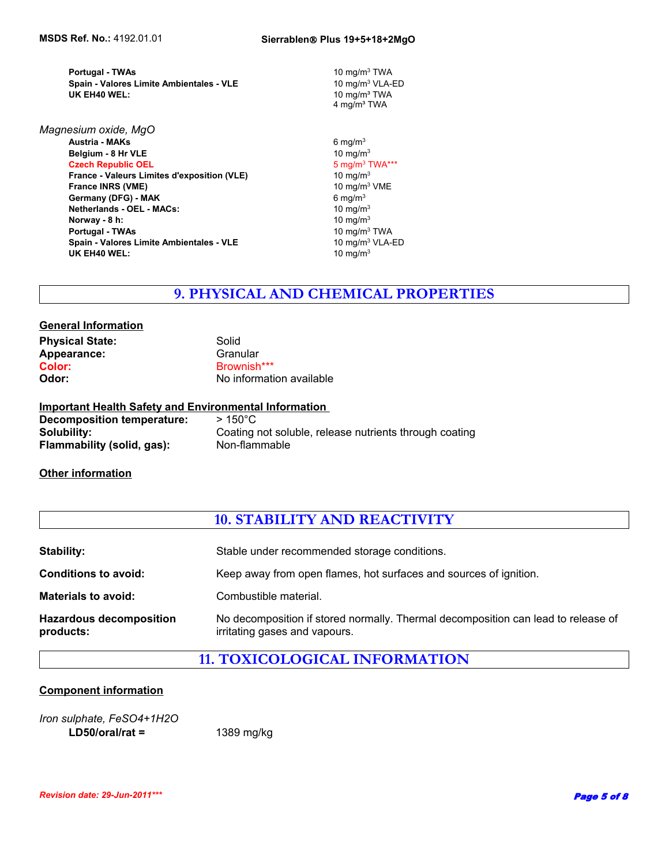**Spain - Valores Limite Ambientales - VLE Portugal - TWAs** 

**Norway - 8 h:** 10 mg/m<sup>3</sup> **Portugal - TWAs 10 mg/m<sup>3</sup> TWA Austria - MAKs** 6 mg/m3 **Spain - Valores Limite Ambientales - VLE** 10 mg/m<sup>3</sup> VLA-ED **UK EH40 WEL:** 10 mg/m<sup>3</sup> **Belgium - 8 Hr VLE**<br> **Czech Republic OEL**<br> **Czech Republic OEL**<br>
10 mg/m<sup>3</sup> TWA\*\*\* **Czech Republic OEL France - Valeurs Limites d'exposition (VLE)** 10 mg/m<sup>3</sup> **France INRS (VME)** 10 mg/m<sup>3</sup> VME<br> **Germany (DFG) - MAK** 6 mg/m<sup>3</sup> 6 mg/m<sup>3</sup> **Germany (DFG) - MAK** *Magnesium oxide, MgO* **Netherlands - OEL - MACs:** 10 mg/m<sup>3</sup>

10 mg/m3 VLA-ED **10 mg/m<sup>3</sup> TWA** 4 mg/m<sup>3</sup> TWA 10 mg/m3 TWA

### **9. PHYSICAL AND CHEMICAL PROPERTIES**

#### **General Information Physical State:** Solid Appearance: Granular **Color:** Brownish\*\*\* **Odor:** No information available

#### **Important Health Safety and Environmental Information**

**Decomposition temperature:** > 150°C **Solubility:** Coating not soluble, release nutrients through coating<br> **Flammability (solid. gas):** Non-flammable **Flammability (solid, gas):** 

#### **Other information**

|                                             | <b>10. STABILITY AND REACTIVITY</b>                                                                                |  |  |
|---------------------------------------------|--------------------------------------------------------------------------------------------------------------------|--|--|
| <b>Stability:</b>                           | Stable under recommended storage conditions.                                                                       |  |  |
|                                             |                                                                                                                    |  |  |
| <b>Conditions to avoid:</b>                 | Keep away from open flames, hot surfaces and sources of ignition.                                                  |  |  |
| <b>Materials to avoid:</b>                  | Combustible material.                                                                                              |  |  |
| <b>Hazardous decomposition</b><br>products: | No decomposition if stored normally. Thermal decomposition can lead to release of<br>irritating gases and vapours. |  |  |

### **11. TOXICOLOGICAL INFORMATION**

#### **Component information**

*Iron sulphate, FeSO4+1H2O*  **LD50/oral/rat =** 1389 mg/kg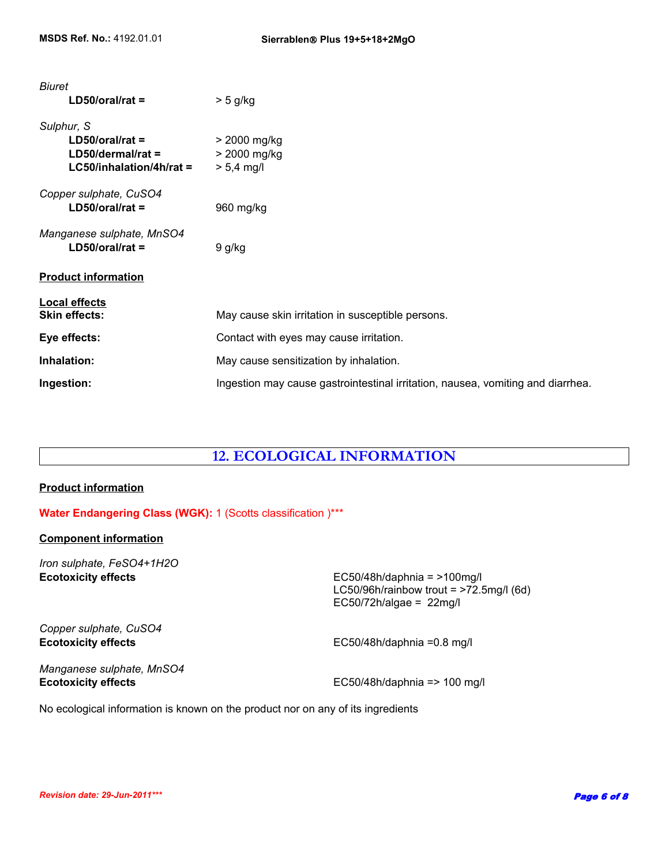| <b>Biuret</b>              |                                                                                 |
|----------------------------|---------------------------------------------------------------------------------|
| $LD50/oral/rat =$          | $> 5$ g/kg                                                                      |
| Sulphur, S                 |                                                                                 |
| $LD50/oral/rat =$          | > 2000 mg/kg                                                                    |
| $LD50/dermal/rat =$        | > 2000 mg/kg                                                                    |
| $LG50/inhalation/4h/rat =$ | $> 5,4$ mg/l                                                                    |
| Copper sulphate, CuSO4     |                                                                                 |
| $LD50/oral/rat =$          | 960 mg/kg                                                                       |
| Manganese sulphate, MnSO4  |                                                                                 |
| $LD50/oral/rat =$          | 9 g/kg                                                                          |
| <b>Product information</b> |                                                                                 |
| <b>Local effects</b>       |                                                                                 |
| <b>Skin effects:</b>       | May cause skin irritation in susceptible persons.                               |
| Eye effects:               | Contact with eyes may cause irritation.                                         |
| Inhalation:                | May cause sensitization by inhalation.                                          |
| Ingestion:                 | Ingestion may cause gastrointestinal irritation, nausea, vomiting and diarrhea. |

### **12. ECOLOGICAL INFORMATION**

#### **Product information**

#### **Water Endangering Class (WGK):** 1 (Scotts classification )\*\*\*

#### **Component information**

*Iron sulphate, FeSO4+1H2O*

**Ecotoxicity effects** EC50/48h/daphnia = >100mg/l LC50/96h/rainbow trout =  $>72.5$ mg/l (6d) EC50/72h/algae =  $22$ mg/l

*Copper sulphate, CuSO4*

**Ecotoxicity effects** EC50/48h/daphnia =0.8 mg/l

*Manganese sulphate, MnSO4*

**Ecotoxicity effects EC50/48h/daphnia => 100 mg/l** 

No ecological information is known on the product nor on any of its ingredients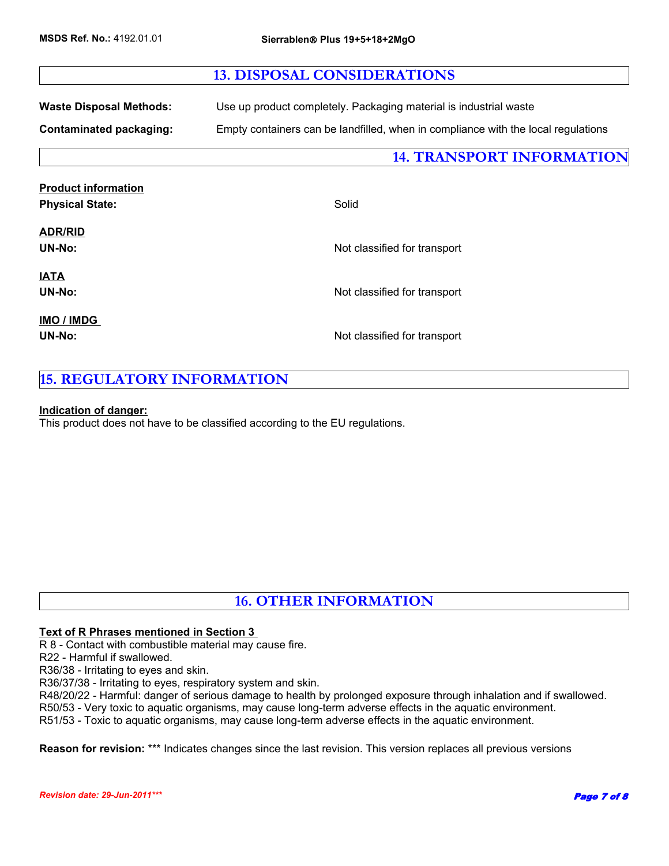### **13. DISPOSAL CONSIDERATIONS**

**Waste Disposal Methods:** Use up product completely. Packaging material is industrial waste

**Contaminated packaging:** Empty containers can be landfilled, when in compliance with the local regulations

**14. TRANSPORT INFORMATION**

| <b>Product information</b> |                              |
|----------------------------|------------------------------|
| <b>Physical State:</b>     | Solid                        |
| <b>ADR/RID</b>             |                              |
| <b>UN-No:</b>              | Not classified for transport |
| <u>IATA</u>                |                              |
| <b>UN-No:</b>              | Not classified for transport |
| IMO / IMDG                 |                              |
| <b>UN-No:</b>              | Not classified for transport |
|                            |                              |

### **15. REGULATORY INFORMATION**

#### **Indication of danger:**

This product does not have to be classified according to the EU regulations.

### **16. OTHER INFORMATION**

#### **Text of R Phrases mentioned in Section 3**

R 8 - Contact with combustible material may cause fire.

R22 - Harmful if swallowed.

R36/38 - Irritating to eyes and skin.

R36/37/38 - Irritating to eyes, respiratory system and skin.

R48/20/22 - Harmful: danger of serious damage to health by prolonged exposure through inhalation and if swallowed.

R50/53 - Very toxic to aquatic organisms, may cause long-term adverse effects in the aquatic environment.

R51/53 - Toxic to aquatic organisms, may cause long-term adverse effects in the aquatic environment.

**Reason for revision:** \*\*\* Indicates changes since the last revision. This version replaces all previous versions